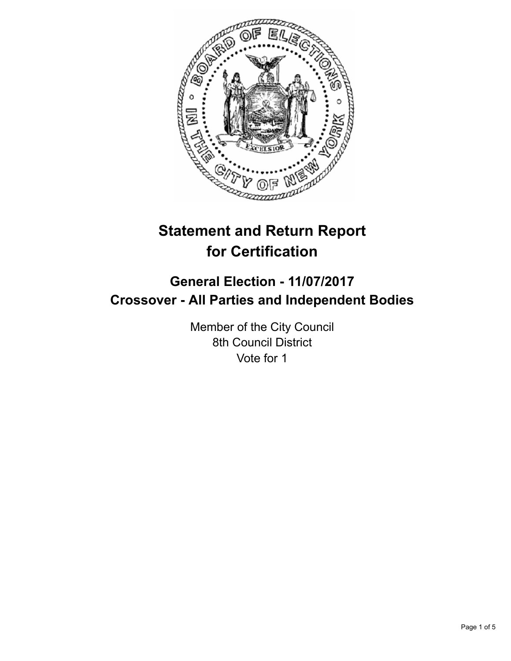

# **Statement and Return Report for Certification**

## **General Election - 11/07/2017 Crossover - All Parties and Independent Bodies**

Member of the City Council 8th Council District Vote for 1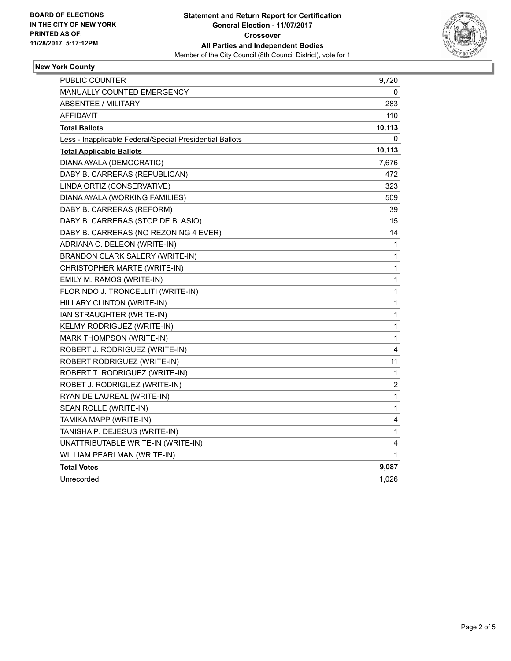

#### **New York County**

| PUBLIC COUNTER                                           | 9,720        |
|----------------------------------------------------------|--------------|
| <b>MANUALLY COUNTED EMERGENCY</b>                        | 0            |
| <b>ABSENTEE / MILITARY</b>                               | 283          |
| AFFIDAVIT                                                | 110          |
| <b>Total Ballots</b>                                     | 10,113       |
| Less - Inapplicable Federal/Special Presidential Ballots | 0            |
| <b>Total Applicable Ballots</b>                          | 10,113       |
| DIANA AYALA (DEMOCRATIC)                                 | 7,676        |
| DABY B. CARRERAS (REPUBLICAN)                            | 472          |
| LINDA ORTIZ (CONSERVATIVE)                               | 323          |
| DIANA AYALA (WORKING FAMILIES)                           | 509          |
| DABY B. CARRERAS (REFORM)                                | 39           |
| DABY B. CARRERAS (STOP DE BLASIO)                        | 15           |
| DABY B. CARRERAS (NO REZONING 4 EVER)                    | 14           |
| ADRIANA C. DELEON (WRITE-IN)                             | 1            |
| BRANDON CLARK SALERY (WRITE-IN)                          | 1            |
| CHRISTOPHER MARTE (WRITE-IN)                             | 1            |
| EMILY M. RAMOS (WRITE-IN)                                | 1            |
| FLORINDO J. TRONCELLITI (WRITE-IN)                       | 1            |
| HILLARY CLINTON (WRITE-IN)                               | 1            |
| IAN STRAUGHTER (WRITE-IN)                                | 1            |
| KELMY RODRIGUEZ (WRITE-IN)                               | $\mathbf{1}$ |
| MARK THOMPSON (WRITE-IN)                                 | 1            |
| ROBERT J. RODRIGUEZ (WRITE-IN)                           | 4            |
| ROBERT RODRIGUEZ (WRITE-IN)                              | 11           |
| ROBERT T. RODRIGUEZ (WRITE-IN)                           | 1            |
| ROBET J. RODRIGUEZ (WRITE-IN)                            | 2            |
| RYAN DE LAUREAL (WRITE-IN)                               | 1            |
| SEAN ROLLE (WRITE-IN)                                    | 1            |
| TAMIKA MAPP (WRITE-IN)                                   | 4            |
| TANISHA P. DEJESUS (WRITE-IN)                            | 1            |
| UNATTRIBUTABLE WRITE-IN (WRITE-IN)                       | 4            |
| WILLIAM PEARLMAN (WRITE-IN)                              | 1            |
| <b>Total Votes</b>                                       | 9,087        |
| Unrecorded                                               | 1,026        |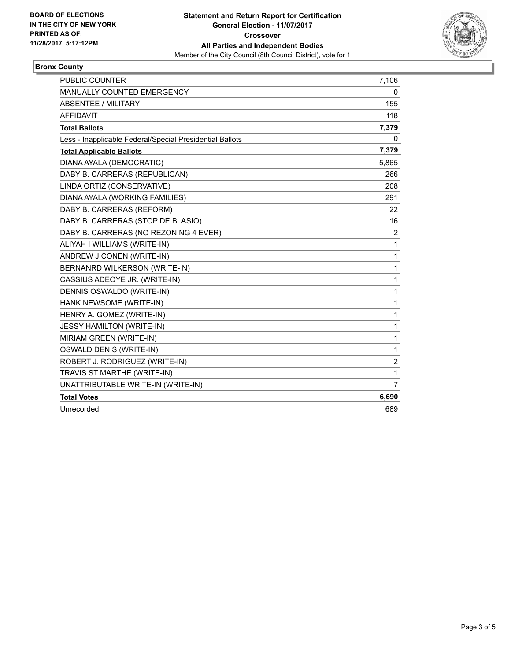

#### **Bronx County**

| <b>PUBLIC COUNTER</b>                                    | 7,106          |
|----------------------------------------------------------|----------------|
| <b>MANUALLY COUNTED EMERGENCY</b>                        | 0              |
| ABSENTEE / MILITARY                                      | 155            |
| <b>AFFIDAVIT</b>                                         | 118            |
| <b>Total Ballots</b>                                     | 7,379          |
| Less - Inapplicable Federal/Special Presidential Ballots | 0              |
| <b>Total Applicable Ballots</b>                          | 7,379          |
| DIANA AYALA (DEMOCRATIC)                                 | 5,865          |
| DABY B. CARRERAS (REPUBLICAN)                            | 266            |
| LINDA ORTIZ (CONSERVATIVE)                               | 208            |
| DIANA AYALA (WORKING FAMILIES)                           | 291            |
| DABY B. CARRERAS (REFORM)                                | 22             |
| DABY B. CARRERAS (STOP DE BLASIO)                        | 16             |
| DABY B. CARRERAS (NO REZONING 4 EVER)                    | $\overline{2}$ |
| ALIYAH I WILLIAMS (WRITE-IN)                             | 1              |
| ANDREW J CONEN (WRITE-IN)                                | 1              |
| BERNANRD WILKERSON (WRITE-IN)                            | 1              |
| CASSIUS ADEOYE JR. (WRITE-IN)                            | 1              |
| DENNIS OSWALDO (WRITE-IN)                                | 1              |
| HANK NEWSOME (WRITE-IN)                                  | 1              |
| HENRY A. GOMEZ (WRITE-IN)                                | 1              |
| JESSY HAMILTON (WRITE-IN)                                | 1              |
| MIRIAM GREEN (WRITE-IN)                                  | 1              |
| <b>OSWALD DENIS (WRITE-IN)</b>                           | 1              |
| ROBERT J. RODRIGUEZ (WRITE-IN)                           | 2              |
| TRAVIS ST MARTHE (WRITE-IN)                              | 1              |
| UNATTRIBUTABLE WRITE-IN (WRITE-IN)                       | $\overline{7}$ |
| <b>Total Votes</b>                                       | 6,690          |
| Unrecorded                                               | 689            |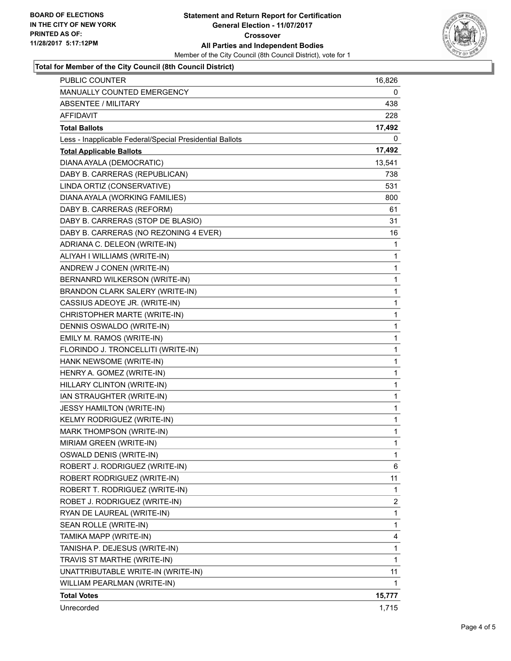

#### **Total for Member of the City Council (8th Council District)**

| PUBLIC COUNTER                                           | 16,826       |
|----------------------------------------------------------|--------------|
| <b>MANUALLY COUNTED EMERGENCY</b>                        | 0            |
| <b>ABSENTEE / MILITARY</b>                               | 438          |
| AFFIDAVIT                                                | 228          |
| Total Ballots                                            | 17,492       |
| Less - Inapplicable Federal/Special Presidential Ballots | 0            |
| <b>Total Applicable Ballots</b>                          | 17,492       |
| DIANA AYALA (DEMOCRATIC)                                 | 13,541       |
| DABY B. CARRERAS (REPUBLICAN)                            | 738          |
| LINDA ORTIZ (CONSERVATIVE)                               | 531          |
| DIANA AYALA (WORKING FAMILIES)                           | 800          |
| DABY B. CARRERAS (REFORM)                                | 61           |
| DABY B. CARRERAS (STOP DE BLASIO)                        | 31           |
| DABY B. CARRERAS (NO REZONING 4 EVER)                    | 16           |
| ADRIANA C. DELEON (WRITE-IN)                             | 1            |
| ALIYAH I WILLIAMS (WRITE-IN)                             | 1            |
| ANDREW J CONEN (WRITE-IN)                                | 1            |
| BERNANRD WILKERSON (WRITE-IN)                            | 1            |
| BRANDON CLARK SALERY (WRITE-IN)                          | 1            |
| CASSIUS ADEOYE JR. (WRITE-IN)                            | 1            |
| CHRISTOPHER MARTE (WRITE-IN)                             | 1            |
| DENNIS OSWALDO (WRITE-IN)                                | 1            |
| EMILY M. RAMOS (WRITE-IN)                                | 1            |
| FLORINDO J. TRONCELLITI (WRITE-IN)                       | 1            |
| HANK NEWSOME (WRITE-IN)                                  | 1            |
| HENRY A. GOMEZ (WRITE-IN)                                | 1            |
| HILLARY CLINTON (WRITE-IN)                               | 1            |
| IAN STRAUGHTER (WRITE-IN)                                | 1            |
| <b>JESSY HAMILTON (WRITE-IN)</b>                         | 1            |
| KELMY RODRIGUEZ (WRITE-IN)                               | 1            |
| MARK THOMPSON (WRITE-IN)                                 | 1            |
| MIRIAM GREEN (WRITE-IN)                                  | $\mathbf{1}$ |
| <b>OSWALD DENIS (WRITE-IN)</b>                           | 1            |
| ROBERT J. RODRIGUEZ (WRITE-IN)                           | 6            |
| ROBERT RODRIGUEZ (WRITE-IN)                              | 11           |
| ROBERT T. RODRIGUEZ (WRITE-IN)                           | 1            |
| ROBET J. RODRIGUEZ (WRITE-IN)                            | 2            |
| RYAN DE LAUREAL (WRITE-IN)                               | 1            |
| SEAN ROLLE (WRITE-IN)                                    | 1            |
| TAMIKA MAPP (WRITE-IN)                                   | 4            |
| TANISHA P. DEJESUS (WRITE-IN)                            | 1            |
| TRAVIS ST MARTHE (WRITE-IN)                              | $\mathbf{1}$ |
| UNATTRIBUTABLE WRITE-IN (WRITE-IN)                       | 11           |
| WILLIAM PEARLMAN (WRITE-IN)                              | 1            |
| <b>Total Votes</b>                                       | 15,777       |
| Unrecorded                                               | 1,715        |
|                                                          |              |